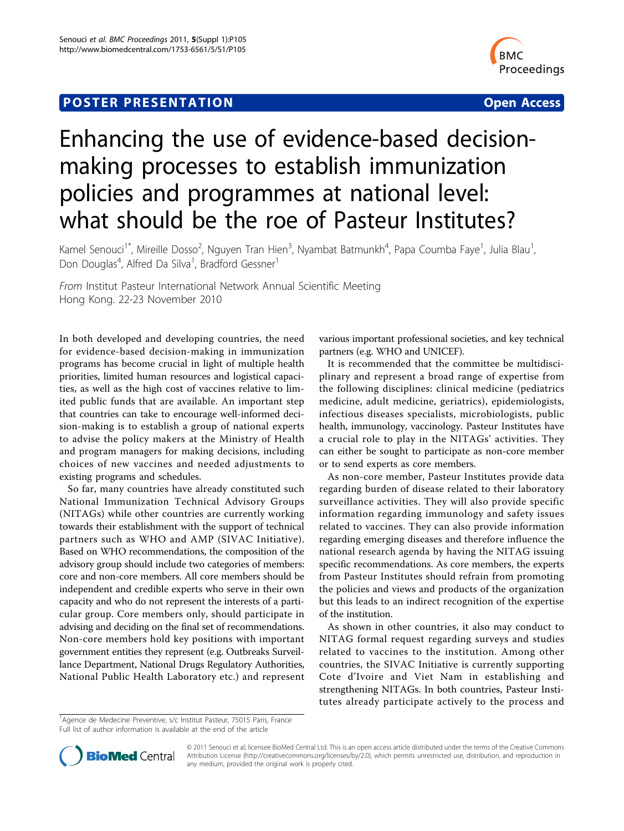## **POSTER PRESENTATION CONSUMING THE SERVICE SERVICE SERVICES**



# Enhancing the use of evidence-based decisionmaking processes to establish immunization policies and programmes at national level: what should be the roe of Pasteur Institutes?

Kamel Senouci<sup>1\*</sup>, Mireille Dosso<sup>2</sup>, Nguyen Tran Hien<sup>3</sup>, Nyambat Batmunkh<sup>4</sup>, Papa Coumba Faye<sup>1</sup>, Julia Blau<sup>1</sup> , Don Douglas<sup>4</sup>, Alfred Da Silva<sup>1</sup>, Bradford Gessner<sup>1</sup>

From Institut Pasteur International Network Annual Scientific Meeting Hong Kong. 22-23 November 2010

In both developed and developing countries, the need for evidence-based decision-making in immunization programs has become crucial in light of multiple health priorities, limited human resources and logistical capacities, as well as the high cost of vaccines relative to limited public funds that are available. An important step that countries can take to encourage well-informed decision-making is to establish a group of national experts to advise the policy makers at the Ministry of Health and program managers for making decisions, including choices of new vaccines and needed adjustments to existing programs and schedules.

So far, many countries have already constituted such National Immunization Technical Advisory Groups (NITAGs) while other countries are currently working towards their establishment with the support of technical partners such as WHO and AMP (SIVAC Initiative). Based on WHO recommendations, the composition of the advisory group should include two categories of members: core and non-core members. All core members should be independent and credible experts who serve in their own capacity and who do not represent the interests of a particular group. Core members only, should participate in advising and deciding on the final set of recommendations. Non-core members hold key positions with important government entities they represent (e.g. Outbreaks Surveillance Department, National Drugs Regulatory Authorities, National Public Health Laboratory etc.) and represent various important professional societies, and key technical partners (e.g. WHO and UNICEF).

It is recommended that the committee be multidisciplinary and represent a broad range of expertise from the following disciplines: clinical medicine (pediatrics medicine, adult medicine, geriatrics), epidemiologists, infectious diseases specialists, microbiologists, public health, immunology, vaccinology. Pasteur Institutes have a crucial role to play in the NITAGs' activities. They can either be sought to participate as non-core member or to send experts as core members.

As non-core member, Pasteur Institutes provide data regarding burden of disease related to their laboratory surveillance activities. They will also provide specific information regarding immunology and safety issues related to vaccines. They can also provide information regarding emerging diseases and therefore influence the national research agenda by having the NITAG issuing specific recommendations. As core members, the experts from Pasteur Institutes should refrain from promoting the policies and views and products of the organization but this leads to an indirect recognition of the expertise of the institution.

As shown in other countries, it also may conduct to NITAG formal request regarding surveys and studies related to vaccines to the institution. Among other countries, the SIVAC Initiative is currently supporting Cote d'Ivoire and Viet Nam in establishing and strengthening NITAGs. In both countries, Pasteur Institutes already participate actively to the process and

<sup>&</sup>lt;sup>1</sup>Agence de Medecine Preventive, s/c Institut Pasteur, 75015 Paris, France Full list of author information is available at the end of the article



© 2011 Senouci et al; licensee BioMed Central Ltd. This is an open access article distributed under the terms of the Creative Commons Attribution License [\(http://creativecommons.org/licenses/by/2.0](http://creativecommons.org/licenses/by/2.0)), which permits unrestricted use, distribution, and reproduction in any medium, provided the original work is properly cited.